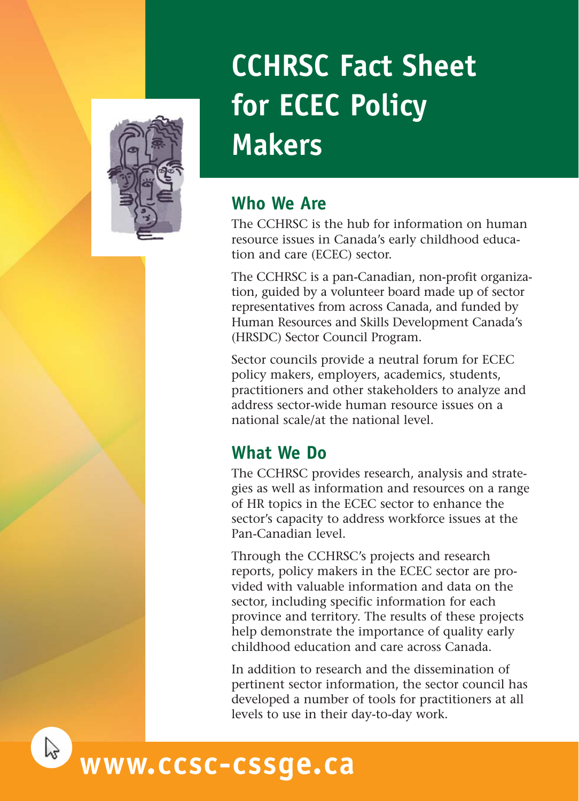

# **CCHRSC Fact Sheet for ECEC Policy Makers**

### **Who We Are**

The CCHRSC is the hub for information on human resource issues in Canada's early childhood education and care (ECEC) sector.

The CCHRSC is a pan-Canadian, non-profit organization, guided by a volunteer board made up of sector representatives from across Canada, and funded by Human Resources and Skills Development Canada's (HRSDC) Sector Council Program.

Sector councils provide a neutral forum for ECEC policy makers, employers, academics, students, practitioners and other stakeholders to analyze and address sector-wide human resource issues on a national scale/at the national level.

## **What We Do**

The CCHRSC provides research, analysis and strategies as well as information and resources on a range of HR topics in the ECEC sector to enhance the sector's capacity to address workforce issues at the Pan-Canadian level.

Through the CCHRSC's projects and research reports, policy makers in the ECEC sector are provided with valuable information and data on the sector, including specific information for each province and territory. The results of these projects help demonstrate the importance of quality early childhood education and care across Canada.

In addition to research and the dissemination of pertinent sector information, the sector council has developed a number of tools for practitioners at all levels to use in their day-to-day work.

# **www.ccsc-cssge.ca**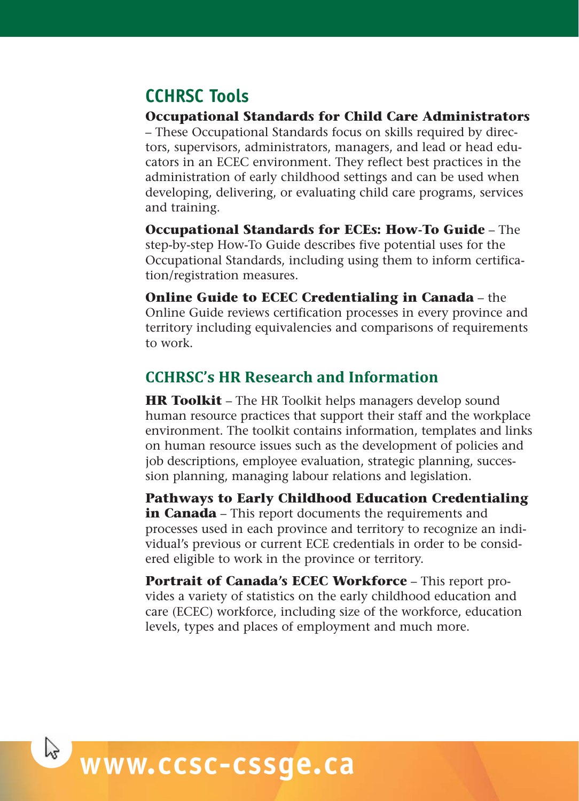### **CCHRSC Tools**

**Occupational Standards for Child Care Administrators**

– These Occupational Standards focus on skills required by directors, supervisors, administrators, managers, and lead or head educators in an ECEC environment. They reflect best practices in the administration of early childhood settings and can be used when developing, delivering, or evaluating child care programs, services and training.

**Occupational Standards for ECEs: How-To Guide** – The step-by-step How-To Guide describes five potential uses for the Occupational Standards, including using them to inform certification/registration measures.

**Online Guide to ECEC Credentialing in Canada** – the Online Guide reviews certification processes in every province and territory including equivalencies and comparisons of requirements to work.

### **CCHRSC's HR Research and Information**

**HR Toolkit** – The HR Toolkit helps managers develop sound human resource practices that support their staff and the workplace environment. The toolkit contains information, templates and links on human resource issues such as the development of policies and job descriptions, employee evaluation, strategic planning, succession planning, managing labour relations and legislation.

**Pathways to Early Childhood Education Credentialing** in **Canada** – This report documents the requirements and processes used in each province and territory to recognize an individual's previous or current ECE credentials in order to be considered eligible to work in the province or territory.

**Portrait of Canada's ECEC Workforce** – This report provides a variety of statistics on the early childhood education and care (ECEC) workforce, including size of the workforce, education levels, types and places of employment and much more.

# **www.ccsc-cssge.ca**

 $\mathbb{R}$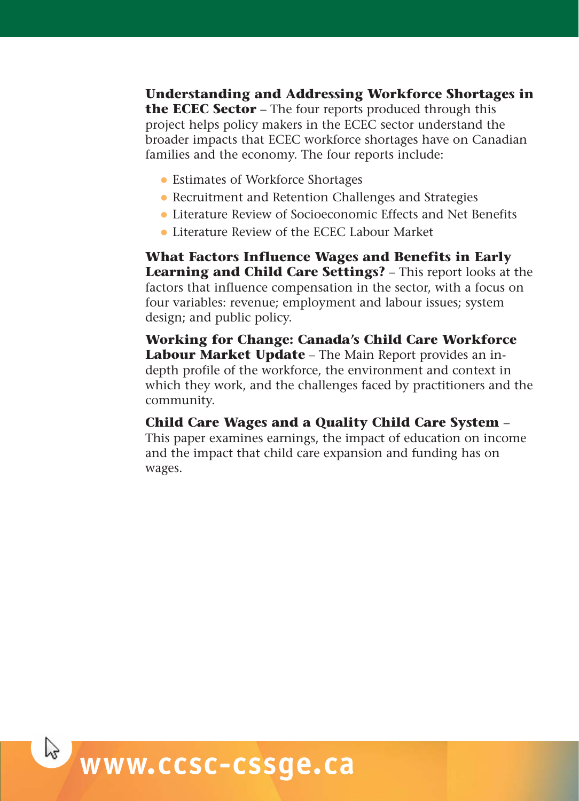**Understanding and Addressing Workforce Shortages in the ECEC Sector** – The four reports produced through this project helps policy makers in the ECEC sector understand the broader impacts that ECEC workforce shortages have on Canadian families and the economy. The four reports include:

- Estimates of Workforce Shortages
- Recruitment and Retention Challenges and Strategies
- Literature Review of Socioeconomic Effects and Net Benefits
- Literature Review of the ECEC Labour Market

**What Factors Influence Wages and Benefits in Early Learning and Child Care Settings?** – This report looks at the factors that influence compensation in the sector, with a focus on four variables: revenue; employment and labour issues; system design; and public policy.

**Working for Change: Canada's Child Care Workforce Labour Market Update** – The Main Report provides an indepth profile of the workforce, the environment and context in which they work, and the challenges faced by practitioners and the community.

#### **Child Care Wages and a Quality Child Care System** –

This paper examines earnings, the impact of education on income and the impact that child care expansion and funding has on wages.

# **www.ccsc-cssge.ca**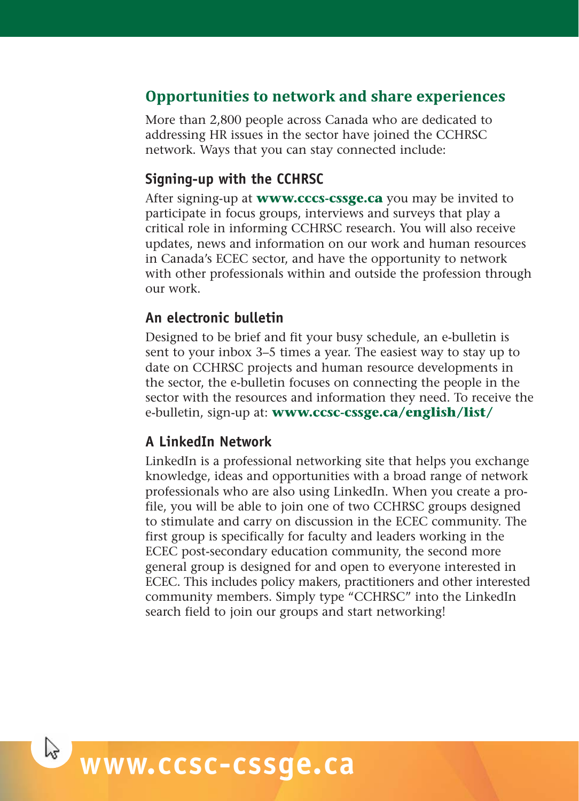### **Opportunities to network and share experiences**

More than 2,800 people across Canada who are dedicated to addressing HR issues in the sector have joined the CCHRSC network. Ways that you can stay connected include:

#### **Signing-up with the CCHRSC**

After signing-up at **www.cccs-cssge.ca** you may be invited to participate in focus groups, interviews and surveys that play a critical role in informing CCHRSC research. You will also receive updates, news and information on our work and human resources in Canada's ECEC sector, and have the opportunity to network with other professionals within and outside the profession through our work.

#### **An electronic bulletin**

Designed to be brief and fit your busy schedule, an e-bulletin is sent to your inbox 3–5 times a year. The easiest way to stay up to date on CCHRSC projects and human resource developments in the sector, the e-bulletin focuses on connecting the people in the sector with the resources and information they need. To receive the e-bulletin, sign-up at: **www.ccsc-cssge.ca/english/list/**

#### **A LinkedIn Network**

LinkedIn is a professional networking site that helps you exchange knowledge, ideas and opportunities with a broad range of network professionals who are also using LinkedIn. When you create a profile, you will be able to join one of two CCHRSC groups designed to stimulate and carry on discussion in the ECEC community. The first group is specifically for faculty and leaders working in the ECEC post-secondary education community, the second more general group is designed for and open to everyone interested in ECEC. This includes policy makers, practitioners and other interested community members. Simply type "CCHRSC" into the LinkedIn search field to join our groups and start networking!

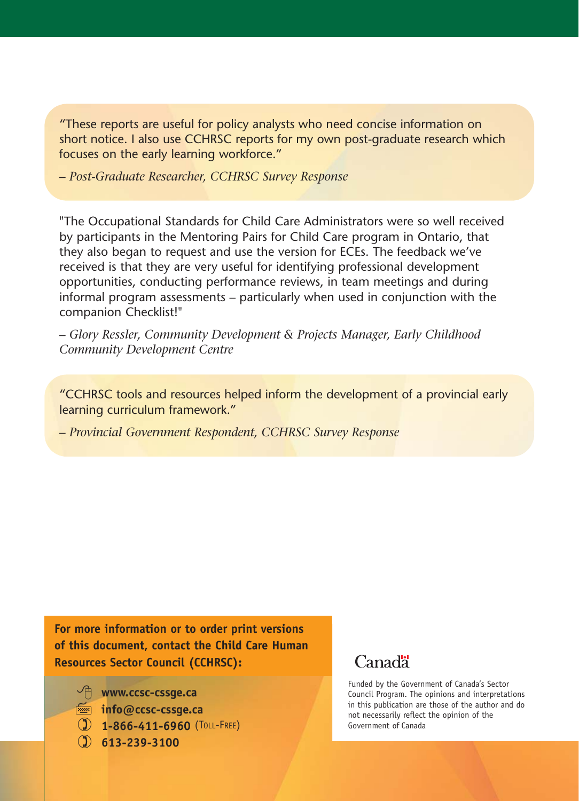"These reports are useful for policy analysts who need concise information on short notice. I also use CCHRSC reports for my own post-graduate research which focuses on the early learning workforce."

*– Post-Graduate Researcher, CCHRSC Survey Response*

"The Occupational Standards for Child Care Administrators were so well received by participants in the Mentoring Pairs for Child Care program in Ontario, that they also began to request and use the version for ECEs. The feedback we've received is that they are very useful for identifying professional development opportunities, conducting performance reviews, in team meetings and during informal program assessments – particularly when used in conjunction with the companion Checklist!"

*– Glory Ressler, Community Development & Projects Manager, Early Childhood Community Development Centre*

"CCHRSC tools and resources helped inform the development of a provincial early learning curriculum framework."

*– Provincial Government Respondent, CCHRSC Survey Response*

**For more information or to order print versions of this document, contact the Child Care Human Resources Sector Council (CCHRSC):**

- **www.ccsc-cssge.ca**

**info@ccsc-cssge.ca**

- **1-866-411-6960** (TOLL-FREE)
- **613-239-3100**

### **Canada**

Funded by the Government of Canada's Sector Council Program. The opinions and interpretations in this publication are those of the author and do not necessarily reflect the opinion of the Government of Canada